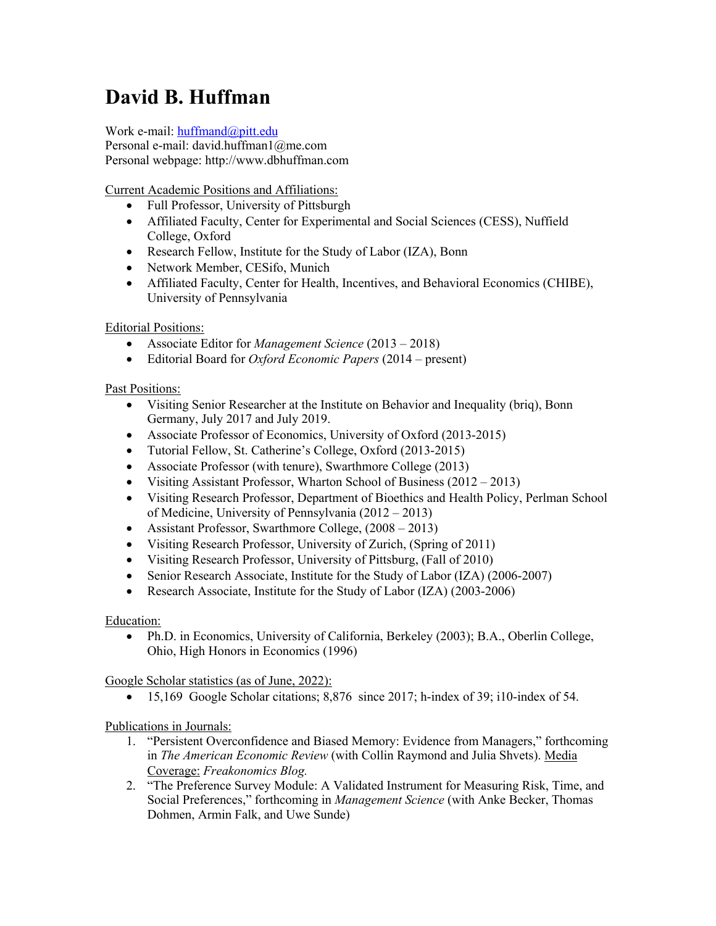# **David B. Huffman**

Work e-mail: huffmand@pitt.edu

Personal e-mail: david.huffman1@me.com Personal webpage: http://www.dbhuffman.com

Current Academic Positions and Affiliations:

- Full Professor, University of Pittsburgh
- Affiliated Faculty, Center for Experimental and Social Sciences (CESS), Nuffield College, Oxford
- Research Fellow, Institute for the Study of Labor (IZA), Bonn
- Network Member, CESifo, Munich
- Affiliated Faculty, Center for Health, Incentives, and Behavioral Economics (CHIBE), University of Pennsylvania

# Editorial Positions:

- Associate Editor for *Management Science* (2013 2018)
- Editorial Board for *Oxford Economic Papers* (2014 present)

## Past Positions:

- Visiting Senior Researcher at the Institute on Behavior and Inequality (briq), Bonn Germany, July 2017 and July 2019.
- Associate Professor of Economics, University of Oxford (2013-2015)
- Tutorial Fellow, St. Catherine's College, Oxford (2013-2015)
- Associate Professor (with tenure), Swarthmore College (2013)
- Visiting Assistant Professor, Wharton School of Business (2012 2013)
- Visiting Research Professor, Department of Bioethics and Health Policy, Perlman School of Medicine, University of Pennsylvania (2012 – 2013)
- Assistant Professor, Swarthmore College,  $(2008 2013)$
- Visiting Research Professor, University of Zurich, (Spring of 2011)
- Visiting Research Professor, University of Pittsburg, (Fall of 2010)
- Senior Research Associate, Institute for the Study of Labor (IZA) (2006-2007)
- Research Associate, Institute for the Study of Labor (IZA) (2003-2006)

## Education:

• Ph.D. in Economics, University of California, Berkeley (2003); B.A., Oberlin College, Ohio, High Honors in Economics (1996)

Google Scholar statistics (as of June, 2022):

• 15,169 Google Scholar citations; 8,876 since 2017; h-index of 39; i10-index of 54.

Publications in Journals:

- 1. "Persistent Overconfidence and Biased Memory: Evidence from Managers," forthcoming in *The American Economic Review* (with Collin Raymond and Julia Shvets). Media Coverage: *Freakonomics Blog.*
- 2. "The Preference Survey Module: A Validated Instrument for Measuring Risk, Time, and Social Preferences," forthcoming in *Management Science* (with Anke Becker, Thomas Dohmen, Armin Falk, and Uwe Sunde)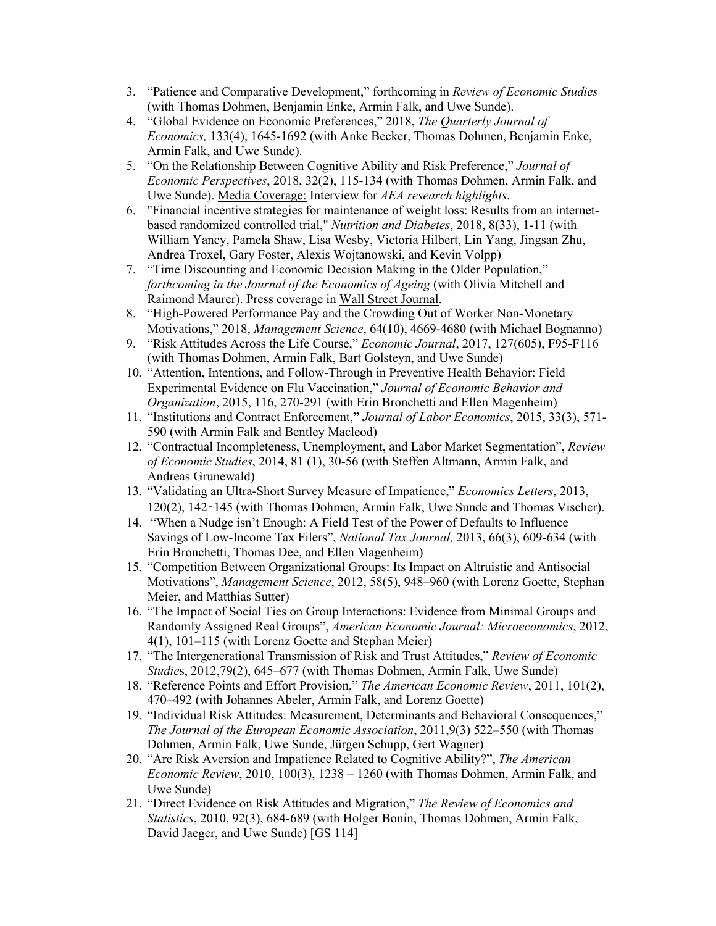- 3. "Patience and Comparative Development," forthcoming in *Review of Economic Studies* (with Thomas Dohmen, Benjamin Enke, Armin Falk, and Uwe Sunde).
- 4. "Global Evidence on Economic Preferences," 2018, *The Quarterly Journal of Economics,* 133(4), 1645-1692 (with Anke Becker, Thomas Dohmen, Benjamin Enke, Armin Falk, and Uwe Sunde).
- 5. "On the Relationship Between Cognitive Ability and Risk Preference," *Journal of Economic Perspectives*, 2018, 32(2), 115-134 (with Thomas Dohmen, Armin Falk, and Uwe Sunde). Media Coverage: Interview for *AEA research highlights*.
- 6. "Financial incentive strategies for maintenance of weight loss: Results from an internetbased randomized controlled trial," *Nutrition and Diabetes*, 2018, 8(33), 1-11 (with William Yancy, Pamela Shaw, Lisa Wesby, Victoria Hilbert, Lin Yang, Jingsan Zhu, Andrea Troxel, Gary Foster, Alexis Wojtanowski, and Kevin Volpp)
- 7. "Time Discounting and Economic Decision Making in the Older Population," *forthcoming in the Journal of the Economics of Ageing* (with Olivia Mitchell and Raimond Maurer). Press coverage in Wall Street Journal.
- 8. "High-Powered Performance Pay and the Crowding Out of Worker Non-Monetary Motivations," 2018, *Management Science*, 64(10), 4669-4680 (with Michael Bognanno)
- 9. "Risk Attitudes Across the Life Course," *Economic Journal*, 2017, 127(605), F95-F116 (with Thomas Dohmen, Armin Falk, Bart Golsteyn, and Uwe Sunde)
- 10. "Attention, Intentions, and Follow-Through in Preventive Health Behavior: Field Experimental Evidence on Flu Vaccination," *Journal of Economic Behavior and Organization*, 2015, 116, 270-291 (with Erin Bronchetti and Ellen Magenheim)
- 11. "Institutions and Contract Enforcement,**"** *Journal of Labor Economics*, 2015, 33(3), 571- 590 (with Armin Falk and Bentley Macleod)
- 12. "Contractual Incompleteness, Unemployment, and Labor Market Segmentation", *Review of Economic Studies*, 2014, 81 (1), 30-56 (with Steffen Altmann, Armin Falk, and Andreas Grunewald)
- 13. "Validating an Ultra-Short Survey Measure of Impatience," *Economics Letters*, 2013, 120(2), 142–145 (with Thomas Dohmen, Armin Falk, Uwe Sunde and Thomas Vischer).
- 14. "When a Nudge isn't Enough: A Field Test of the Power of Defaults to Influence Savings of Low-Income Tax Filers", *National Tax Journal,* 2013, 66(3), 609-634 (with Erin Bronchetti, Thomas Dee, and Ellen Magenheim)
- 15. "Competition Between Organizational Groups: Its Impact on Altruistic and Antisocial Motivations", *Management Science*, 2012, 58(5), 948–960 (with Lorenz Goette, Stephan Meier, and Matthias Sutter)
- 16. "The Impact of Social Ties on Group Interactions: Evidence from Minimal Groups and Randomly Assigned Real Groups", *American Economic Journal: Microeconomics*, 2012, 4(1), 101–115 (with Lorenz Goette and Stephan Meier)
- 17. "The Intergenerational Transmission of Risk and Trust Attitudes," *Review of Economic Studie*s, 2012,79(2), 645–677 (with Thomas Dohmen, Armin Falk, Uwe Sunde)
- 18. "Reference Points and Effort Provision," *The American Economic Review*, 2011, 101(2), 470–492 (with Johannes Abeler, Armin Falk, and Lorenz Goette)
- 19. "Individual Risk Attitudes: Measurement, Determinants and Behavioral Consequences," *The Journal of the European Economic Association*, 2011,9(3) 522–550 (with Thomas Dohmen, Armin Falk, Uwe Sunde, Jürgen Schupp, Gert Wagner)
- 20. "Are Risk Aversion and Impatience Related to Cognitive Ability?", *The American Economic Review*, 2010, 100(3), 1238 – 1260 (with Thomas Dohmen, Armin Falk, and Uwe Sunde)
- 21. "Direct Evidence on Risk Attitudes and Migration," *The Review of Economics and Statistics*, 2010, 92(3), 684-689 (with Holger Bonin, Thomas Dohmen, Armin Falk, David Jaeger, and Uwe Sunde) [GS 114]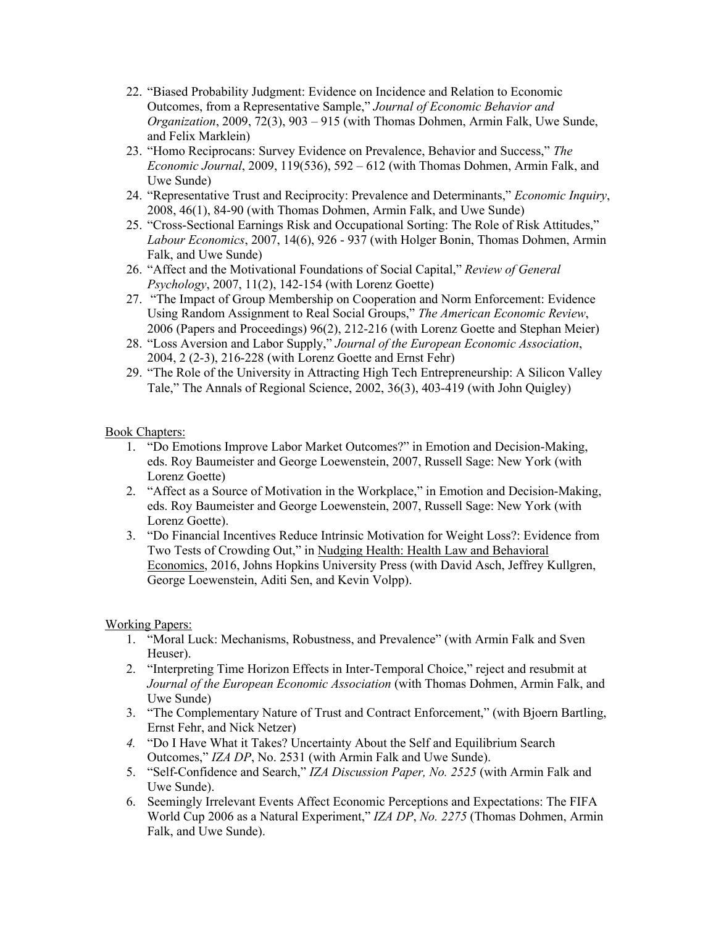- 22. "Biased Probability Judgment: Evidence on Incidence and Relation to Economic Outcomes, from a Representative Sample," *Journal of Economic Behavior and Organization*, 2009, 72(3), 903 – 915 (with Thomas Dohmen, Armin Falk, Uwe Sunde, and Felix Marklein)
- 23. "Homo Reciprocans: Survey Evidence on Prevalence, Behavior and Success," *The Economic Journal*, 2009, 119(536), 592 – 612 (with Thomas Dohmen, Armin Falk, and Uwe Sunde)
- 24. "Representative Trust and Reciprocity: Prevalence and Determinants," *Economic Inquiry*, 2008, 46(1), 84-90 (with Thomas Dohmen, Armin Falk, and Uwe Sunde)
- 25. "Cross-Sectional Earnings Risk and Occupational Sorting: The Role of Risk Attitudes," *Labour Economics*, 2007, 14(6), 926 - 937 (with Holger Bonin, Thomas Dohmen, Armin Falk, and Uwe Sunde)
- 26. "Affect and the Motivational Foundations of Social Capital," *Review of General Psychology*, 2007, 11(2), 142-154 (with Lorenz Goette)
- 27. "The Impact of Group Membership on Cooperation and Norm Enforcement: Evidence Using Random Assignment to Real Social Groups," *The American Economic Review*, 2006 (Papers and Proceedings) 96(2), 212-216 (with Lorenz Goette and Stephan Meier)
- 28. "Loss Aversion and Labor Supply," *Journal of the European Economic Association*, 2004, 2 (2-3), 216-228 (with Lorenz Goette and Ernst Fehr)
- 29. "The Role of the University in Attracting High Tech Entrepreneurship: A Silicon Valley Tale," The Annals of Regional Science, 2002, 36(3), 403-419 (with John Quigley)

#### Book Chapters:

- 1. "Do Emotions Improve Labor Market Outcomes?" in Emotion and Decision-Making, eds. Roy Baumeister and George Loewenstein, 2007, Russell Sage: New York (with Lorenz Goette)
- 2. "Affect as a Source of Motivation in the Workplace," in Emotion and Decision-Making, eds. Roy Baumeister and George Loewenstein, 2007, Russell Sage: New York (with Lorenz Goette).
- 3. "Do Financial Incentives Reduce Intrinsic Motivation for Weight Loss?: Evidence from Two Tests of Crowding Out," in Nudging Health: Health Law and Behavioral Economics, 2016, Johns Hopkins University Press (with David Asch, Jeffrey Kullgren, George Loewenstein, Aditi Sen, and Kevin Volpp).

#### Working Papers:

- 1. "Moral Luck: Mechanisms, Robustness, and Prevalence" (with Armin Falk and Sven Heuser).
- 2. "Interpreting Time Horizon Effects in Inter-Temporal Choice," reject and resubmit at *Journal of the European Economic Association* (with Thomas Dohmen, Armin Falk, and Uwe Sunde)
- 3. "The Complementary Nature of Trust and Contract Enforcement," (with Bjoern Bartling, Ernst Fehr, and Nick Netzer)
- *4.* "Do I Have What it Takes? Uncertainty About the Self and Equilibrium Search Outcomes," *IZA DP*, No. 2531 (with Armin Falk and Uwe Sunde).
- 5. "Self-Confidence and Search," *IZA Discussion Paper, No. 2525* (with Armin Falk and Uwe Sunde).
- 6. Seemingly Irrelevant Events Affect Economic Perceptions and Expectations: The FIFA World Cup 2006 as a Natural Experiment," *IZA DP*, *No. 2275* (Thomas Dohmen, Armin Falk, and Uwe Sunde).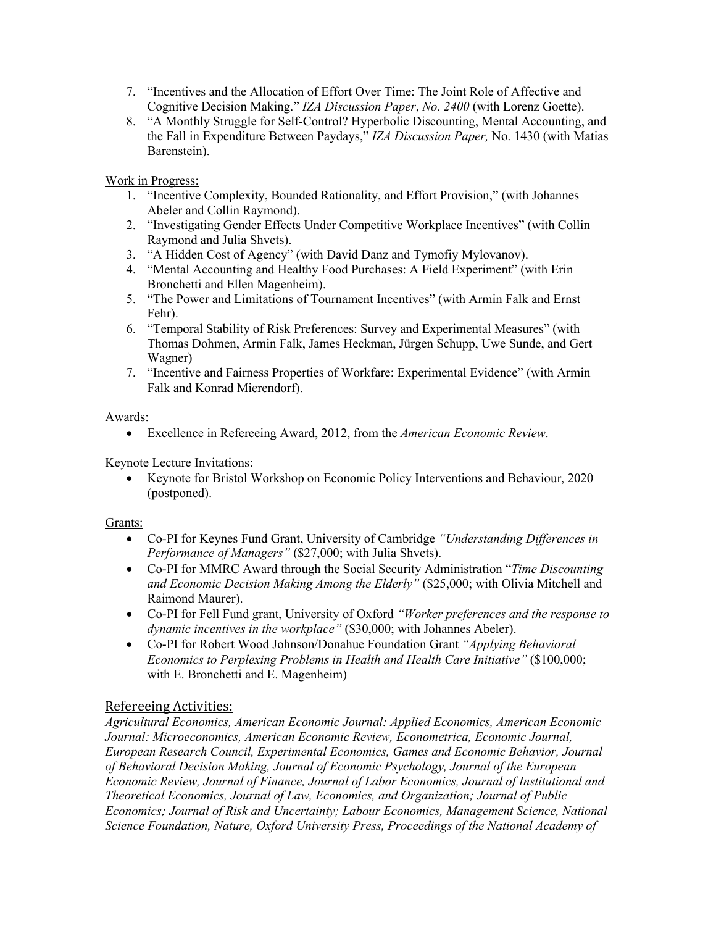- 7. "Incentives and the Allocation of Effort Over Time: The Joint Role of Affective and Cognitive Decision Making." *IZA Discussion Paper*, *No. 2400* (with Lorenz Goette).
- 8. "A Monthly Struggle for Self-Control? Hyperbolic Discounting, Mental Accounting, and the Fall in Expenditure Between Paydays," *IZA Discussion Paper,* No. 1430 (with Matias Barenstein).

Work in Progress:

- 1. "Incentive Complexity, Bounded Rationality, and Effort Provision," (with Johannes Abeler and Collin Raymond).
- 2. "Investigating Gender Effects Under Competitive Workplace Incentives" (with Collin Raymond and Julia Shvets).
- 3. "A Hidden Cost of Agency" (with David Danz and Tymofiy Mylovanov).
- 4. "Mental Accounting and Healthy Food Purchases: A Field Experiment" (with Erin Bronchetti and Ellen Magenheim).
- 5. "The Power and Limitations of Tournament Incentives" (with Armin Falk and Ernst Fehr).
- 6. "Temporal Stability of Risk Preferences: Survey and Experimental Measures" (with Thomas Dohmen, Armin Falk, James Heckman, Jürgen Schupp, Uwe Sunde, and Gert Wagner)
- 7. "Incentive and Fairness Properties of Workfare: Experimental Evidence" (with Armin Falk and Konrad Mierendorf).

Awards:

• Excellence in Refereeing Award, 2012, from the *American Economic Review*.

Keynote Lecture Invitations:

• Keynote for Bristol Workshop on Economic Policy Interventions and Behaviour, 2020 (postponed).

#### Grants:

- Co-PI for Keynes Fund Grant, University of Cambridge *"Understanding Differences in Performance of Managers"* (\$27,000; with Julia Shvets).
- Co-PI for MMRC Award through the Social Security Administration "*Time Discounting and Economic Decision Making Among the Elderly"* (\$25,000; with Olivia Mitchell and Raimond Maurer).
- Co-PI for Fell Fund grant, University of Oxford *"Worker preferences and the response to dynamic incentives in the workplace"* (\$30,000; with Johannes Abeler).
- Co-PI for Robert Wood Johnson/Donahue Foundation Grant *"Applying Behavioral Economics to Perplexing Problems in Health and Health Care Initiative"* (\$100,000; with E. Bronchetti and E. Magenheim)

## Refereeing Activities:

*Agricultural Economics, American Economic Journal: Applied Economics, American Economic Journal: Microeconomics, American Economic Review, Econometrica, Economic Journal, European Research Council, Experimental Economics, Games and Economic Behavior, Journal of Behavioral Decision Making, Journal of Economic Psychology, Journal of the European Economic Review, Journal of Finance, Journal of Labor Economics, Journal of Institutional and Theoretical Economics, Journal of Law, Economics, and Organization; Journal of Public Economics; Journal of Risk and Uncertainty; Labour Economics, Management Science, National Science Foundation, Nature, Oxford University Press, Proceedings of the National Academy of*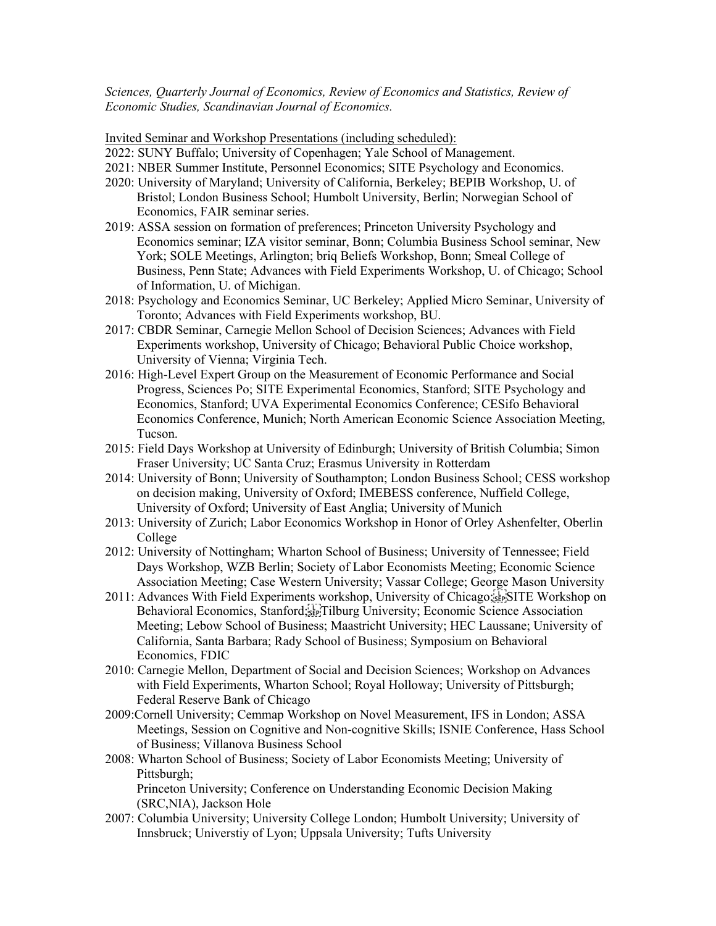*Sciences, Quarterly Journal of Economics, Review of Economics and Statistics, Review of Economic Studies, Scandinavian Journal of Economics.*

Invited Seminar and Workshop Presentations (including scheduled):

- 2022: SUNY Buffalo; University of Copenhagen; Yale School of Management.
- 2021: NBER Summer Institute, Personnel Economics; SITE Psychology and Economics.
- 2020: University of Maryland; University of California, Berkeley; BEPIB Workshop, U. of Bristol; London Business School; Humbolt University, Berlin; Norwegian School of Economics, FAIR seminar series.
- 2019: ASSA session on formation of preferences; Princeton University Psychology and Economics seminar; IZA visitor seminar, Bonn; Columbia Business School seminar, New York; SOLE Meetings, Arlington; briq Beliefs Workshop, Bonn; Smeal College of Business, Penn State; Advances with Field Experiments Workshop, U. of Chicago; School of Information, U. of Michigan.
- 2018: Psychology and Economics Seminar, UC Berkeley; Applied Micro Seminar, University of Toronto; Advances with Field Experiments workshop, BU.
- 2017: CBDR Seminar, Carnegie Mellon School of Decision Sciences; Advances with Field Experiments workshop, University of Chicago; Behavioral Public Choice workshop, University of Vienna; Virginia Tech.
- 2016: High-Level Expert Group on the Measurement of Economic Performance and Social Progress, Sciences Po; SITE Experimental Economics, Stanford; SITE Psychology and Economics, Stanford; UVA Experimental Economics Conference; CESifo Behavioral Economics Conference, Munich; North American Economic Science Association Meeting, Tucson.
- 2015: Field Days Workshop at University of Edinburgh; University of British Columbia; Simon Fraser University; UC Santa Cruz; Erasmus University in Rotterdam
- 2014: University of Bonn; University of Southampton; London Business School; CESS workshop on decision making, University of Oxford; IMEBESS conference, Nuffield College, University of Oxford; University of East Anglia; University of Munich
- 2013: University of Zurich; Labor Economics Workshop in Honor of Orley Ashenfelter, Oberlin College
- 2012: University of Nottingham; Wharton School of Business; University of Tennessee; Field Days Workshop, WZB Berlin; Society of Labor Economists Meeting; Economic Science Association Meeting; Case Western University; Vassar College; George Mason University
- 2011: Advances With Field Experiments workshop, University of Chicago;
SITE Workshop on Behavioral Economics, Stanford;<sup>[1</sup>] Tilburg University; Economic Science Association Meeting; Lebow School of Business; Maastricht University; HEC Laussane; University of California, Santa Barbara; Rady School of Business; Symposium on Behavioral Economics, FDIC
- 2010: Carnegie Mellon, Department of Social and Decision Sciences; Workshop on Advances with Field Experiments, Wharton School; Royal Holloway; University of Pittsburgh; Federal Reserve Bank of Chicago
- 2009:Cornell University; Cemmap Workshop on Novel Measurement, IFS in London; ASSA Meetings, Session on Cognitive and Non-cognitive Skills; ISNIE Conference, Hass School of Business; Villanova Business School
- 2008: Wharton School of Business; Society of Labor Economists Meeting; University of Pittsburgh;

Princeton University; Conference on Understanding Economic Decision Making (SRC,NIA), Jackson Hole

2007: Columbia University; University College London; Humbolt University; University of Innsbruck; Universtiy of Lyon; Uppsala University; Tufts University